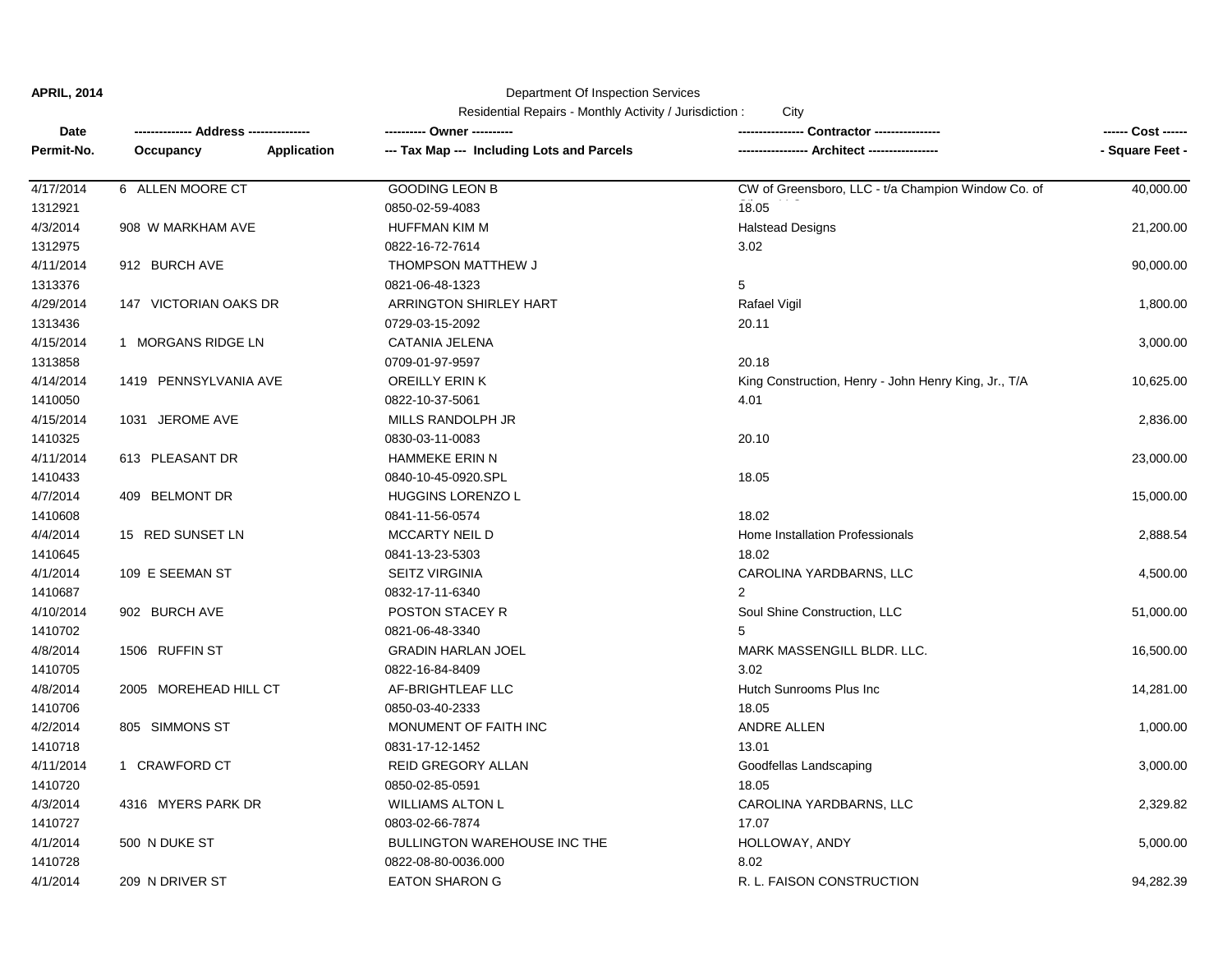#### Department Of Inspection Services

Residential Repairs - Monthly Activity / Jurisdiction : City

| <b>Date</b> |                       |             |                                            |                                                      | ------ Cost ------ |
|-------------|-----------------------|-------------|--------------------------------------------|------------------------------------------------------|--------------------|
| Permit-No.  | Occupancy             | Application | --- Tax Map --- Including Lots and Parcels | --- Architect -------------                          | - Square Feet -    |
| 4/17/2014   | 6 ALLEN MOORE CT      |             | <b>GOODING LEON B</b>                      | CW of Greensboro, LLC - t/a Champion Window Co. of   | 40,000.00          |
| 1312921     |                       |             | 0850-02-59-4083                            | 18.05                                                |                    |
| 4/3/2014    | 908 W MARKHAM AVE     |             | HUFFMAN KIM M                              | <b>Halstead Designs</b>                              | 21,200.00          |
| 1312975     |                       |             | 0822-16-72-7614                            | 3.02                                                 |                    |
| 4/11/2014   | 912 BURCH AVE         |             | THOMPSON MATTHEW J                         |                                                      | 90,000.00          |
| 1313376     |                       |             | 0821-06-48-1323                            | 5                                                    |                    |
| 4/29/2014   | 147 VICTORIAN OAKS DR |             | <b>ARRINGTON SHIRLEY HART</b>              | Rafael Vigil                                         | 1,800.00           |
| 1313436     |                       |             | 0729-03-15-2092                            | 20.11                                                |                    |
| 4/15/2014   | 1 MORGANS RIDGE LN    |             | CATANIA JELENA                             |                                                      | 3,000.00           |
| 1313858     |                       |             | 0709-01-97-9597                            | 20.18                                                |                    |
| 4/14/2014   | 1419 PENNSYLVANIA AVE |             | <b>OREILLY ERIN K</b>                      | King Construction, Henry - John Henry King, Jr., T/A | 10,625.00          |
| 1410050     |                       |             | 0822-10-37-5061                            | 4.01                                                 |                    |
| 4/15/2014   | 1031 JEROME AVE       |             | MILLS RANDOLPH JR                          |                                                      | 2,836.00           |
| 1410325     |                       |             | 0830-03-11-0083                            | 20.10                                                |                    |
| 4/11/2014   | 613 PLEASANT DR       |             | HAMMEKE ERIN N                             |                                                      | 23,000.00          |
| 1410433     |                       |             | 0840-10-45-0920.SPL                        | 18.05                                                |                    |
| 4/7/2014    | 409 BELMONT DR        |             | <b>HUGGINS LORENZO L</b>                   |                                                      | 15,000.00          |
| 1410608     |                       |             | 0841-11-56-0574                            | 18.02                                                |                    |
| 4/4/2014    | 15 RED SUNSET LN      |             | <b>MCCARTY NEIL D</b>                      | Home Installation Professionals                      |                    |
|             |                       |             |                                            |                                                      | 2,888.54           |
| 1410645     |                       |             | 0841-13-23-5303                            | 18.02                                                |                    |
| 4/1/2014    | 109 E SEEMAN ST       |             | <b>SEITZ VIRGINIA</b>                      | CAROLINA YARDBARNS, LLC                              | 4,500.00           |
| 1410687     |                       |             | 0832-17-11-6340                            | $\overline{2}$                                       |                    |
| 4/10/2014   | 902 BURCH AVE         |             | POSTON STACEY R                            | Soul Shine Construction, LLC                         | 51,000.00          |
| 1410702     |                       |             | 0821-06-48-3340                            | 5                                                    |                    |
| 4/8/2014    | 1506 RUFFIN ST        |             | <b>GRADIN HARLAN JOEL</b>                  | MARK MASSENGILL BLDR. LLC.                           | 16,500.00          |
| 1410705     |                       |             | 0822-16-84-8409                            | 3.02                                                 |                    |
| 4/8/2014    | 2005 MOREHEAD HILL CT |             | AF-BRIGHTLEAF LLC                          | Hutch Sunrooms Plus Inc                              | 14,281.00          |
| 1410706     |                       |             | 0850-03-40-2333                            | 18.05                                                |                    |
| 4/2/2014    | 805 SIMMONS ST        |             | MONUMENT OF FAITH INC                      | ANDRE ALLEN                                          | 1,000.00           |
| 1410718     |                       |             | 0831-17-12-1452                            | 13.01                                                |                    |
| 4/11/2014   | 1 CRAWFORD CT         |             | REID GREGORY ALLAN                         | Goodfellas Landscaping                               | 3,000.00           |
| 1410720     |                       |             | 0850-02-85-0591                            | 18.05                                                |                    |
| 4/3/2014    | 4316 MYERS PARK DR    |             | <b>WILLIAMS ALTON L</b>                    | CAROLINA YARDBARNS, LLC                              | 2,329.82           |
| 1410727     |                       |             | 0803-02-66-7874                            | 17.07                                                |                    |
| 4/1/2014    | 500 N DUKE ST         |             | <b>BULLINGTON WAREHOUSE INC THE</b>        | HOLLOWAY, ANDY                                       | 5,000.00           |
| 1410728     |                       |             | 0822-08-80-0036.000                        | 8.02                                                 |                    |
| 4/1/2014    | 209 N DRIVER ST       |             | <b>EATON SHARON G</b>                      | R. L. FAISON CONSTRUCTION                            | 94,282.39          |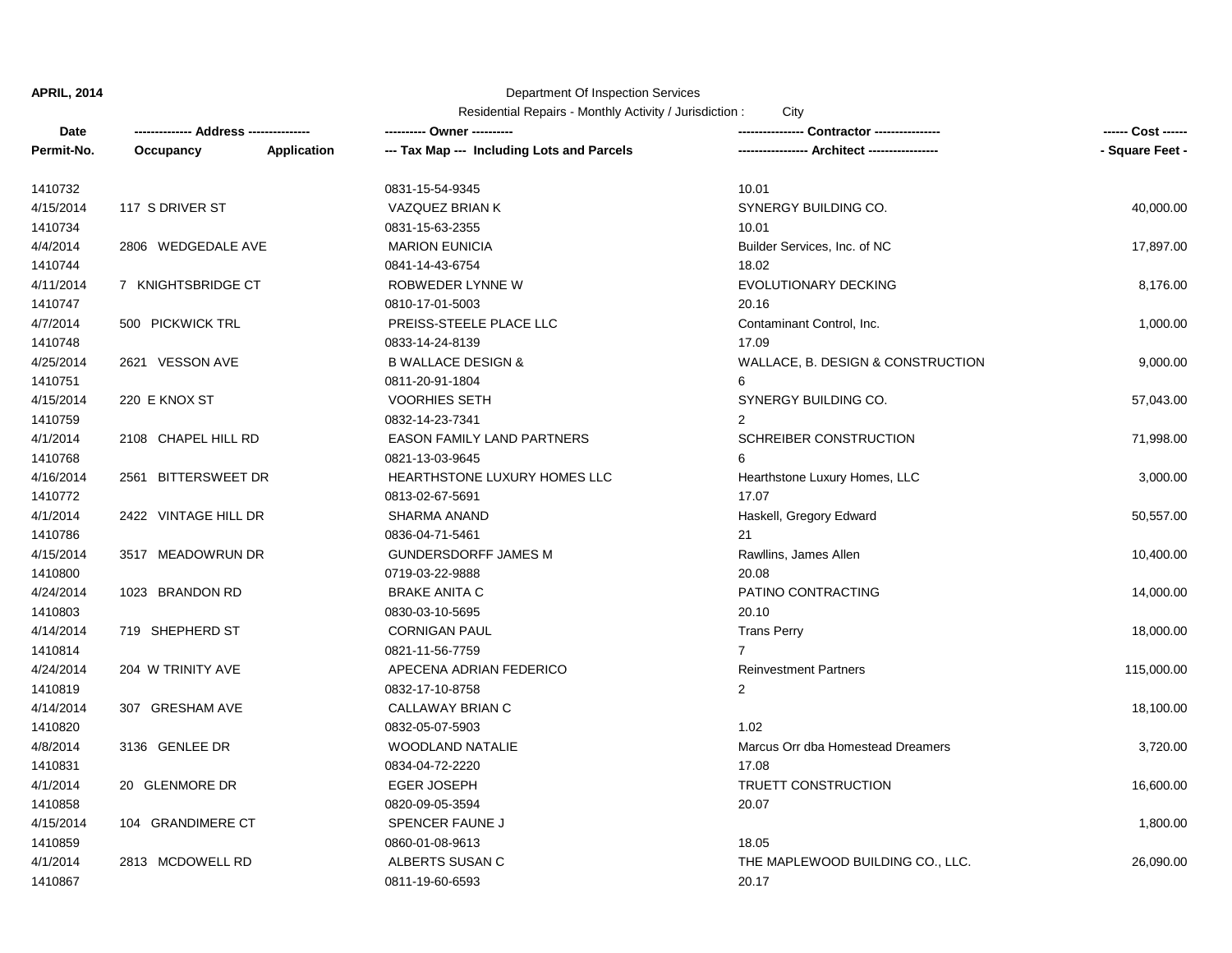## Department Of Inspection Services

| Date       | -------------- Address --------------- |             |                                            |                                             | ------ Cost ------ |
|------------|----------------------------------------|-------------|--------------------------------------------|---------------------------------------------|--------------------|
| Permit-No. | Occupancy                              | Application | --- Tax Map --- Including Lots and Parcels | ---------------- Architect ---------------- | - Square Feet -    |
| 1410732    |                                        |             | 0831-15-54-9345                            | 10.01                                       |                    |
| 4/15/2014  | 117 S DRIVER ST                        |             | VAZQUEZ BRIAN K                            | SYNERGY BUILDING CO.                        | 40,000.00          |
| 1410734    |                                        |             | 0831-15-63-2355                            | 10.01                                       |                    |
| 4/4/2014   | 2806 WEDGEDALE AVE                     |             | <b>MARION EUNICIA</b>                      | Builder Services, Inc. of NC                | 17,897.00          |
| 1410744    |                                        |             | 0841-14-43-6754                            | 18.02                                       |                    |
| 4/11/2014  | 7 KNIGHTSBRIDGE CT                     |             | ROBWEDER LYNNE W                           | <b>EVOLUTIONARY DECKING</b>                 | 8,176.00           |
| 1410747    |                                        |             | 0810-17-01-5003                            | 20.16                                       |                    |
| 4/7/2014   | 500 PICKWICK TRL                       |             | PREISS-STEELE PLACE LLC                    | Contaminant Control, Inc.                   | 1,000.00           |
| 1410748    |                                        |             | 0833-14-24-8139                            | 17.09                                       |                    |
| 4/25/2014  | 2621 VESSON AVE                        |             | <b>B WALLACE DESIGN &amp;</b>              | WALLACE, B. DESIGN & CONSTRUCTION           | 9,000.00           |
| 1410751    |                                        |             | 0811-20-91-1804                            | 6                                           |                    |
| 4/15/2014  | 220 E KNOX ST                          |             | <b>VOORHIES SETH</b>                       | SYNERGY BUILDING CO.                        | 57,043.00          |
| 1410759    |                                        |             | 0832-14-23-7341                            | $\overline{2}$                              |                    |
| 4/1/2014   | 2108 CHAPEL HILL RD                    |             | EASON FAMILY LAND PARTNERS                 | SCHREIBER CONSTRUCTION                      | 71,998.00          |
| 1410768    |                                        |             | 0821-13-03-9645                            |                                             |                    |
| 4/16/2014  | 2561 BITTERSWEET DR                    |             | HEARTHSTONE LUXURY HOMES LLC               | Hearthstone Luxury Homes, LLC               | 3,000.00           |
| 1410772    |                                        |             | 0813-02-67-5691                            | 17.07                                       |                    |
| 4/1/2014   | 2422 VINTAGE HILL DR                   |             | <b>SHARMA ANAND</b>                        | Haskell, Gregory Edward                     | 50,557.00          |
| 1410786    |                                        |             | 0836-04-71-5461                            | 21                                          |                    |
| 4/15/2014  | 3517 MEADOWRUN DR                      |             | <b>GUNDERSDORFF JAMES M</b>                | Rawllins, James Allen                       | 10,400.00          |
| 1410800    |                                        |             | 0719-03-22-9888                            | 20.08                                       |                    |
| 4/24/2014  | 1023 BRANDON RD                        |             | <b>BRAKE ANITA C</b>                       | PATINO CONTRACTING                          | 14,000.00          |
| 1410803    |                                        |             | 0830-03-10-5695                            | 20.10                                       |                    |
| 4/14/2014  | 719 SHEPHERD ST                        |             | <b>CORNIGAN PAUL</b>                       | <b>Trans Perry</b>                          | 18,000.00          |
| 1410814    |                                        |             | 0821-11-56-7759                            | $\overline{7}$                              |                    |
| 4/24/2014  | 204 W TRINITY AVE                      |             | APECENA ADRIAN FEDERICO                    | <b>Reinvestment Partners</b>                | 115,000.00         |
| 1410819    |                                        |             | 0832-17-10-8758                            | $\overline{2}$                              |                    |
| 4/14/2014  | 307 GRESHAM AVE                        |             | CALLAWAY BRIAN C                           |                                             | 18,100.00          |
| 1410820    |                                        |             | 0832-05-07-5903                            | 1.02                                        |                    |
| 4/8/2014   | 3136 GENLEE DR                         |             | <b>WOODLAND NATALIE</b>                    | Marcus Orr dba Homestead Dreamers           | 3,720.00           |
| 1410831    |                                        |             | 0834-04-72-2220                            | 17.08                                       |                    |
| 4/1/2014   | 20 GLENMORE DR                         |             | <b>EGER JOSEPH</b>                         | TRUETT CONSTRUCTION                         | 16,600.00          |
| 1410858    |                                        |             | 0820-09-05-3594                            | 20.07                                       |                    |
| 4/15/2014  | 104 GRANDIMERE CT                      |             | SPENCER FAUNE J                            |                                             | 1,800.00           |
| 1410859    |                                        |             | 0860-01-08-9613                            | 18.05                                       |                    |
| 4/1/2014   | 2813 MCDOWELL RD                       |             | ALBERTS SUSAN C                            | THE MAPLEWOOD BUILDING CO., LLC.            | 26,090.00          |
| 1410867    |                                        |             | 0811-19-60-6593                            | 20.17                                       |                    |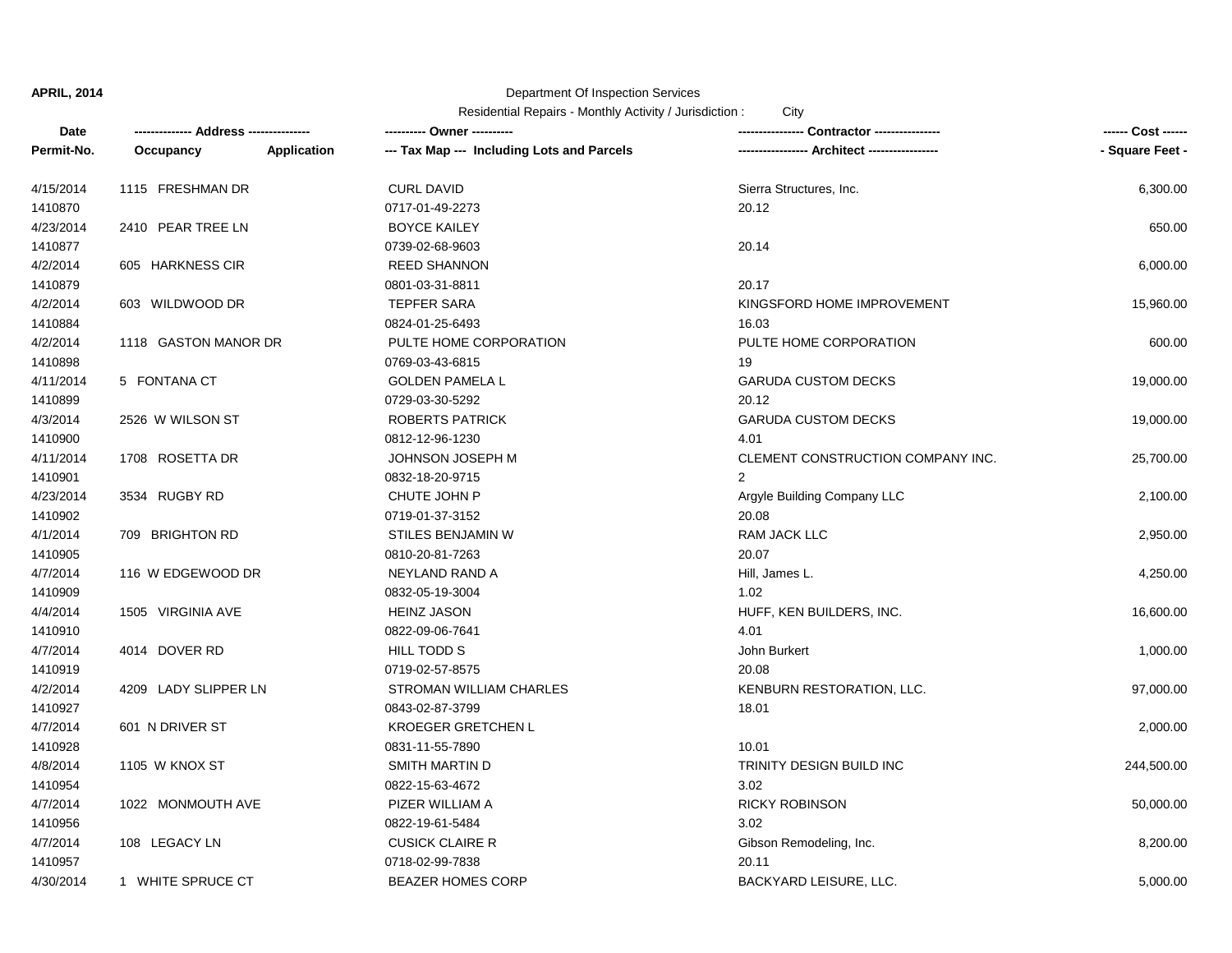# Department Of Inspection Services

| Date       |                      |             |                                            |                                   |                 |
|------------|----------------------|-------------|--------------------------------------------|-----------------------------------|-----------------|
| Permit-No. | Occupancy            | Application | --- Tax Map --- Including Lots and Parcels | --- Architect ------------------  | - Square Feet - |
| 4/15/2014  | 1115 FRESHMAN DR     |             | <b>CURL DAVID</b>                          | Sierra Structures, Inc.           | 6,300.00        |
| 1410870    |                      |             | 0717-01-49-2273                            | 20.12                             |                 |
| 4/23/2014  | 2410 PEAR TREE LN    |             | <b>BOYCE KAILEY</b>                        |                                   | 650.00          |
| 1410877    |                      |             | 0739-02-68-9603                            | 20.14                             |                 |
| 4/2/2014   | 605 HARKNESS CIR     |             | <b>REED SHANNON</b>                        |                                   | 6,000.00        |
| 1410879    |                      |             | 0801-03-31-8811                            | 20.17                             |                 |
| 4/2/2014   | 603 WILDWOOD DR      |             | <b>TEPFER SARA</b>                         | KINGSFORD HOME IMPROVEMENT        | 15,960.00       |
| 1410884    |                      |             | 0824-01-25-6493                            | 16.03                             |                 |
| 4/2/2014   | 1118 GASTON MANOR DR |             | PULTE HOME CORPORATION                     | PULTE HOME CORPORATION            | 600.00          |
| 1410898    |                      |             | 0769-03-43-6815                            | 19                                |                 |
| 4/11/2014  | 5 FONTANA CT         |             | <b>GOLDEN PAMELA L</b>                     | <b>GARUDA CUSTOM DECKS</b>        | 19,000.00       |
| 1410899    |                      |             | 0729-03-30-5292                            | 20.12                             |                 |
| 4/3/2014   | 2526 W WILSON ST     |             | <b>ROBERTS PATRICK</b>                     | <b>GARUDA CUSTOM DECKS</b>        | 19,000.00       |
| 1410900    |                      |             | 0812-12-96-1230                            | 4.01                              |                 |
| 4/11/2014  | 1708 ROSETTA DR      |             | JOHNSON JOSEPH M                           | CLEMENT CONSTRUCTION COMPANY INC. | 25,700.00       |
| 1410901    |                      |             | 0832-18-20-9715                            | $\overline{2}$                    |                 |
| 4/23/2014  | 3534 RUGBY RD        |             | CHUTE JOHN P                               | Argyle Building Company LLC       | 2,100.00        |
| 1410902    |                      |             | 0719-01-37-3152                            | 20.08                             |                 |
| 4/1/2014   | 709 BRIGHTON RD      |             | STILES BENJAMIN W                          | <b>RAM JACK LLC</b>               | 2,950.00        |
| 1410905    |                      |             | 0810-20-81-7263                            | 20.07                             |                 |
| 4/7/2014   | 116 W EDGEWOOD DR    |             | NEYLAND RAND A                             | Hill, James L.                    | 4,250.00        |
| 1410909    |                      |             | 0832-05-19-3004                            | 1.02                              |                 |
| 4/4/2014   | 1505 VIRGINIA AVE    |             | <b>HEINZ JASON</b>                         | HUFF, KEN BUILDERS, INC.          | 16,600.00       |
| 1410910    |                      |             | 0822-09-06-7641                            | 4.01                              |                 |
| 4/7/2014   | 4014 DOVER RD        |             | HILL TODD S                                | John Burkert                      | 1,000.00        |
| 1410919    |                      |             | 0719-02-57-8575                            | 20.08                             |                 |
| 4/2/2014   | 4209 LADY SLIPPER LN |             | STROMAN WILLIAM CHARLES                    | KENBURN RESTORATION, LLC.         | 97,000.00       |
| 1410927    |                      |             | 0843-02-87-3799                            | 18.01                             |                 |
| 4/7/2014   | 601 N DRIVER ST      |             | <b>KROEGER GRETCHEN L</b>                  |                                   | 2,000.00        |
| 1410928    |                      |             | 0831-11-55-7890                            | 10.01                             |                 |
| 4/8/2014   | 1105 W KNOX ST       |             | <b>SMITH MARTIN D</b>                      | TRINITY DESIGN BUILD INC          | 244,500.00      |
| 1410954    |                      |             | 0822-15-63-4672                            | 3.02                              |                 |
| 4/7/2014   | 1022 MONMOUTH AVE    |             | PIZER WILLIAM A                            | <b>RICKY ROBINSON</b>             | 50,000.00       |
| 1410956    |                      |             | 0822-19-61-5484                            | 3.02                              |                 |
| 4/7/2014   | 108 LEGACY LN        |             | <b>CUSICK CLAIRE R</b>                     | Gibson Remodeling, Inc.           | 8,200.00        |
| 1410957    |                      |             | 0718-02-99-7838                            | 20.11                             |                 |
| 4/30/2014  | 1 WHITE SPRUCE CT    |             | <b>BEAZER HOMES CORP</b>                   | BACKYARD LEISURE, LLC.            | 5,000.00        |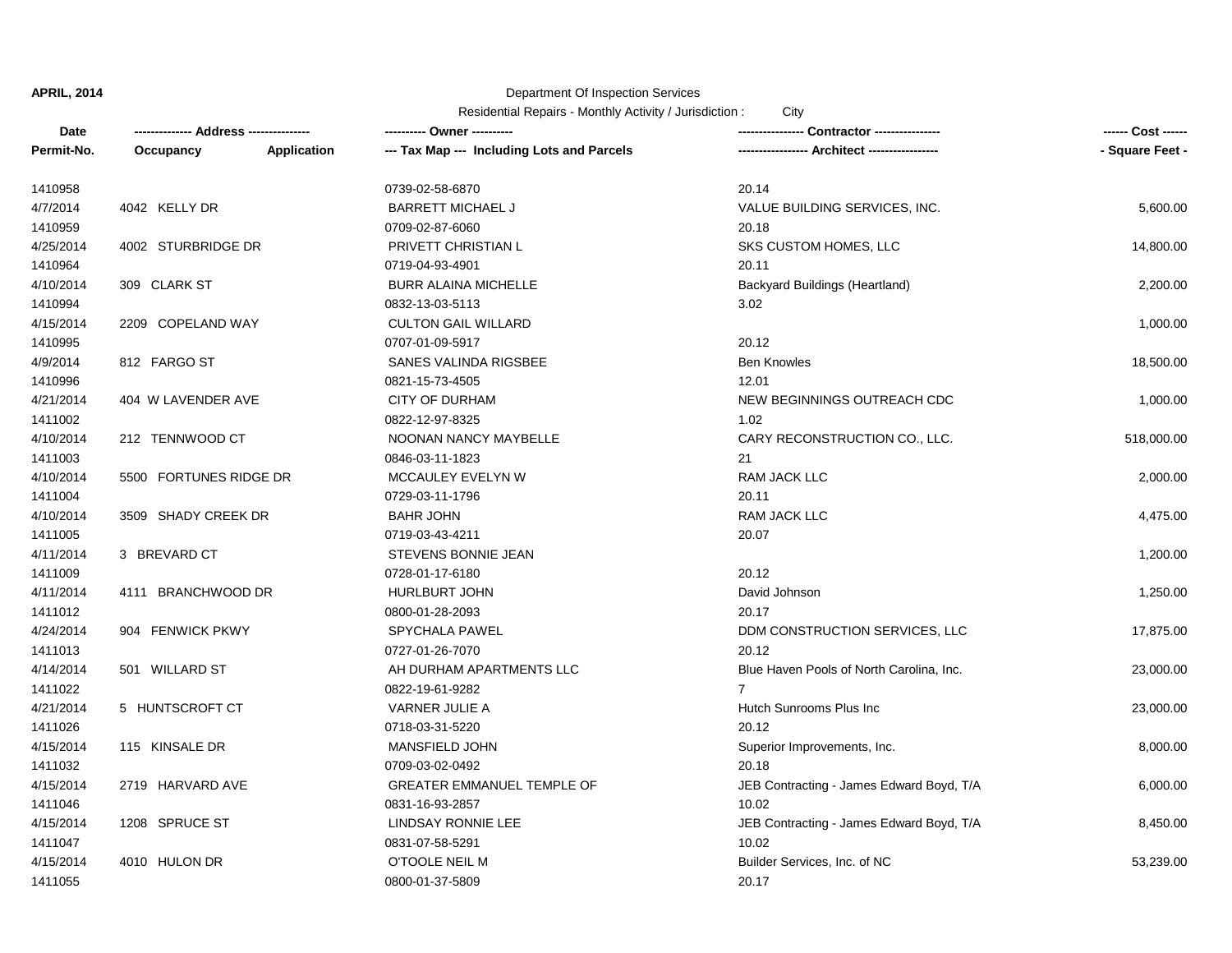## Department Of Inspection Services

| Date       |                        |             | ---------- Owner ----------                |                                          | ------ Cost ------ |
|------------|------------------------|-------------|--------------------------------------------|------------------------------------------|--------------------|
| Permit-No. | Occupancy              | Application | --- Tax Map --- Including Lots and Parcels | -- Architect -----------------           | - Square Feet -    |
| 1410958    |                        |             | 0739-02-58-6870                            | 20.14                                    |                    |
| 4/7/2014   | 4042 KELLY DR          |             | <b>BARRETT MICHAEL J</b>                   | VALUE BUILDING SERVICES, INC.            | 5,600.00           |
| 1410959    |                        |             | 0709-02-87-6060                            | 20.18                                    |                    |
| 4/25/2014  | 4002 STURBRIDGE DR     |             | PRIVETT CHRISTIAN L                        | SKS CUSTOM HOMES, LLC                    | 14,800.00          |
| 1410964    |                        |             | 0719-04-93-4901                            | 20.11                                    |                    |
| 4/10/2014  | 309 CLARK ST           |             | <b>BURR ALAINA MICHELLE</b>                | Backyard Buildings (Heartland)           | 2,200.00           |
| 1410994    |                        |             | 0832-13-03-5113                            | 3.02                                     |                    |
| 4/15/2014  | 2209 COPELAND WAY      |             | <b>CULTON GAIL WILLARD</b>                 |                                          | 1,000.00           |
| 1410995    |                        |             | 0707-01-09-5917                            | 20.12                                    |                    |
| 4/9/2014   | 812 FARGO ST           |             | SANES VALINDA RIGSBEE                      | <b>Ben Knowles</b>                       | 18,500.00          |
| 1410996    |                        |             | 0821-15-73-4505                            | 12.01                                    |                    |
| 4/21/2014  | 404 W LAVENDER AVE     |             | <b>CITY OF DURHAM</b>                      | NEW BEGINNINGS OUTREACH CDC              | 1,000.00           |
| 1411002    |                        |             | 0822-12-97-8325                            | 1.02                                     |                    |
| 4/10/2014  | 212 TENNWOOD CT        |             | NOONAN NANCY MAYBELLE                      | CARY RECONSTRUCTION CO., LLC.            | 518,000.00         |
| 1411003    |                        |             | 0846-03-11-1823                            | 21                                       |                    |
| 4/10/2014  | 5500 FORTUNES RIDGE DR |             | MCCAULEY EVELYN W                          | <b>RAM JACK LLC</b>                      | 2,000.00           |
| 1411004    |                        |             | 0729-03-11-1796                            | 20.11                                    |                    |
| 4/10/2014  | 3509 SHADY CREEK DR    |             | <b>BAHR JOHN</b>                           | <b>RAM JACK LLC</b>                      | 4,475.00           |
| 1411005    |                        |             | 0719-03-43-4211                            | 20.07                                    |                    |
| 4/11/2014  | 3 BREVARD CT           |             | STEVENS BONNIE JEAN                        |                                          | 1,200.00           |
| 1411009    |                        |             | 0728-01-17-6180                            | 20.12                                    |                    |
| 4/11/2014  | 4111 BRANCHWOOD DR     |             | HURLBURT JOHN                              | David Johnson                            | 1,250.00           |
| 1411012    |                        |             | 0800-01-28-2093                            | 20.17                                    |                    |
| 4/24/2014  | 904 FENWICK PKWY       |             | SPYCHALA PAWEL                             | DDM CONSTRUCTION SERVICES, LLC           | 17,875.00          |
| 1411013    |                        |             | 0727-01-26-7070                            | 20.12                                    |                    |
| 4/14/2014  | 501 WILLARD ST         |             | AH DURHAM APARTMENTS LLC                   | Blue Haven Pools of North Carolina, Inc. | 23,000.00          |
| 1411022    |                        |             | 0822-19-61-9282                            | $\overline{7}$                           |                    |
| 4/21/2014  | 5 HUNTSCROFT CT        |             | <b>VARNER JULIE A</b>                      | Hutch Sunrooms Plus Inc                  | 23,000.00          |
| 1411026    |                        |             | 0718-03-31-5220                            | 20.12                                    |                    |
| 4/15/2014  | 115 KINSALE DR         |             | <b>MANSFIELD JOHN</b>                      | Superior Improvements, Inc.              | 8,000.00           |
| 1411032    |                        |             | 0709-03-02-0492                            | 20.18                                    |                    |
| 4/15/2014  | 2719 HARVARD AVE       |             | <b>GREATER EMMANUEL TEMPLE OF</b>          | JEB Contracting - James Edward Boyd, T/A | 6,000.00           |
| 1411046    |                        |             | 0831-16-93-2857                            | 10.02                                    |                    |
| 4/15/2014  | 1208 SPRUCE ST         |             | LINDSAY RONNIE LEE                         | JEB Contracting - James Edward Boyd, T/A | 8,450.00           |
| 1411047    |                        |             | 0831-07-58-5291                            | 10.02                                    |                    |
| 4/15/2014  | 4010 HULON DR          |             | O'TOOLE NEIL M                             | Builder Services, Inc. of NC             | 53,239.00          |
| 1411055    |                        |             | 0800-01-37-5809                            | 20.17                                    |                    |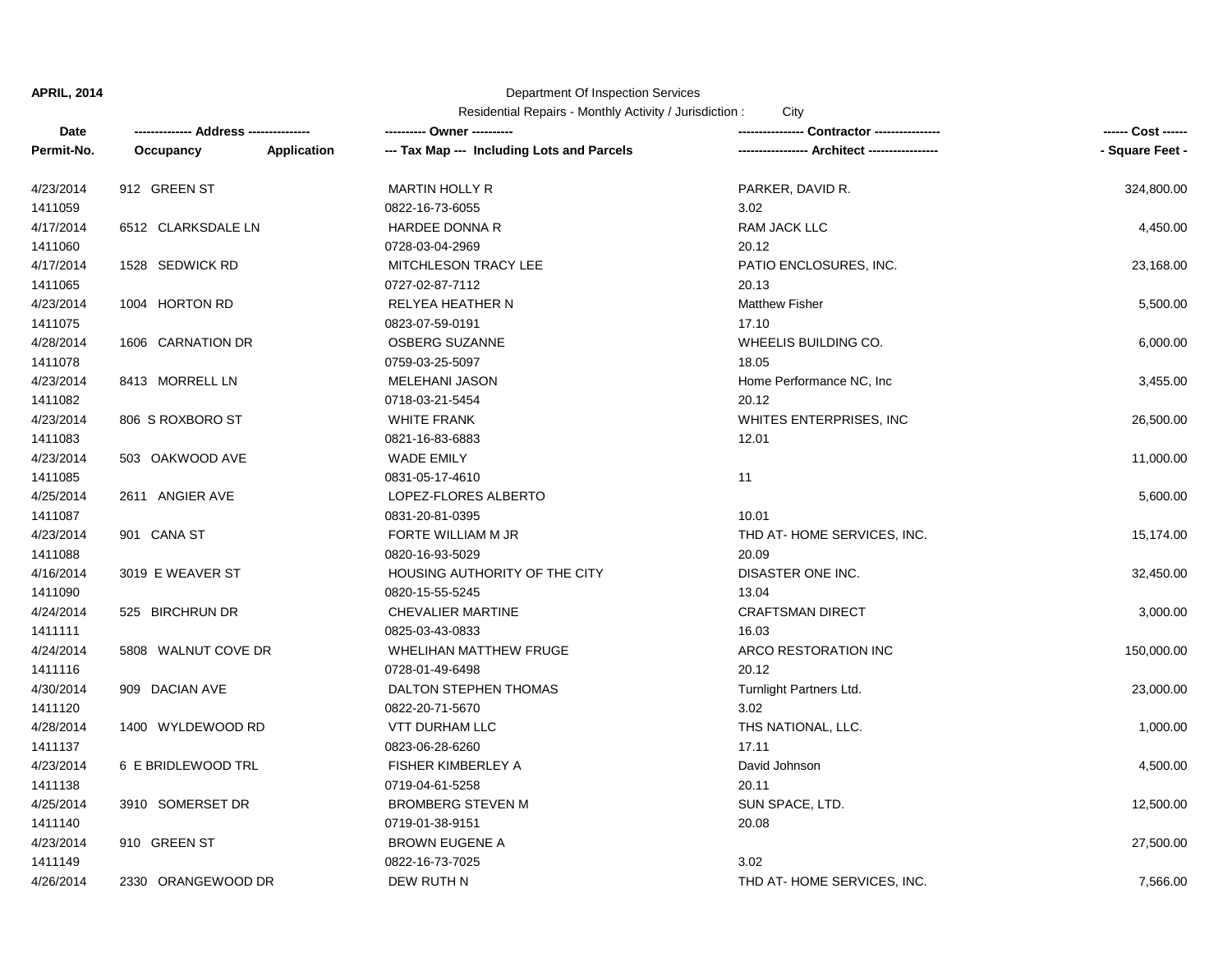## Department Of Inspection Services

| Date       |                     |             |                                            |                                  | ------ Cost ------ |
|------------|---------------------|-------------|--------------------------------------------|----------------------------------|--------------------|
| Permit-No. | Occupancy           | Application | --- Tax Map --- Including Lots and Parcels | --- Architect ------------------ | - Square Feet -    |
| 4/23/2014  | 912 GREEN ST        |             | <b>MARTIN HOLLY R</b>                      | PARKER, DAVID R.                 | 324,800.00         |
| 1411059    |                     |             | 0822-16-73-6055                            | 3.02                             |                    |
| 4/17/2014  | 6512 CLARKSDALE LN  |             | HARDEE DONNA R                             | <b>RAM JACK LLC</b>              | 4,450.00           |
| 1411060    |                     |             | 0728-03-04-2969                            | 20.12                            |                    |
| 4/17/2014  | 1528 SEDWICK RD     |             | <b>MITCHLESON TRACY LEE</b>                | PATIO ENCLOSURES, INC.           | 23,168.00          |
| 1411065    |                     |             | 0727-02-87-7112                            | 20.13                            |                    |
| 4/23/2014  | 1004 HORTON RD      |             | RELYEA HEATHER N                           | <b>Matthew Fisher</b>            | 5,500.00           |
| 1411075    |                     |             | 0823-07-59-0191                            | 17.10                            |                    |
| 4/28/2014  | 1606 CARNATION DR   |             | OSBERG SUZANNE                             | WHEELIS BUILDING CO.             | 6,000.00           |
| 1411078    |                     |             | 0759-03-25-5097                            | 18.05                            |                    |
| 4/23/2014  | 8413 MORRELL LN     |             | MELEHANI JASON                             | Home Performance NC, Inc.        | 3,455.00           |
| 1411082    |                     |             | 0718-03-21-5454                            | 20.12                            |                    |
| 4/23/2014  | 806 S ROXBORO ST    |             | <b>WHITE FRANK</b>                         | WHITES ENTERPRISES, INC          | 26,500.00          |
| 1411083    |                     |             | 0821-16-83-6883                            | 12.01                            |                    |
| 4/23/2014  | 503 OAKWOOD AVE     |             | <b>WADE EMILY</b>                          |                                  | 11,000.00          |
| 1411085    |                     |             | 0831-05-17-4610                            | 11                               |                    |
| 4/25/2014  | 2611 ANGIER AVE     |             | LOPEZ-FLORES ALBERTO                       |                                  | 5,600.00           |
| 1411087    |                     |             | 0831-20-81-0395                            | 10.01                            |                    |
| 4/23/2014  | 901 CANA ST         |             | FORTE WILLIAM M JR                         | THD AT-HOME SERVICES, INC.       | 15,174.00          |
| 1411088    |                     |             | 0820-16-93-5029                            | 20.09                            |                    |
| 4/16/2014  | 3019 E WEAVER ST    |             | HOUSING AUTHORITY OF THE CITY              | DISASTER ONE INC.                | 32,450.00          |
| 1411090    |                     |             | 0820-15-55-5245                            | 13.04                            |                    |
| 4/24/2014  | 525 BIRCHRUN DR     |             | <b>CHEVALIER MARTINE</b>                   | <b>CRAFTSMAN DIRECT</b>          | 3,000.00           |
| 1411111    |                     |             | 0825-03-43-0833                            | 16.03                            |                    |
| 4/24/2014  | 5808 WALNUT COVE DR |             | WHELIHAN MATTHEW FRUGE                     | ARCO RESTORATION INC             | 150,000.00         |
| 1411116    |                     |             | 0728-01-49-6498                            | 20.12                            |                    |
| 4/30/2014  | 909 DACIAN AVE      |             | DALTON STEPHEN THOMAS                      | Turnlight Partners Ltd.          | 23,000.00          |
| 1411120    |                     |             | 0822-20-71-5670                            | 3.02                             |                    |
| 4/28/2014  | 1400 WYLDEWOOD RD   |             | VTT DURHAM LLC                             | THS NATIONAL, LLC.               | 1,000.00           |
| 1411137    |                     |             | 0823-06-28-6260                            | 17.11                            |                    |
| 4/23/2014  | 6 E BRIDLEWOOD TRL  |             | FISHER KIMBERLEY A                         | David Johnson                    | 4,500.00           |
| 1411138    |                     |             | 0719-04-61-5258                            | 20.11                            |                    |
| 4/25/2014  | 3910 SOMERSET DR    |             | <b>BROMBERG STEVEN M</b>                   | SUN SPACE, LTD.                  | 12,500.00          |
| 1411140    |                     |             | 0719-01-38-9151                            | 20.08                            |                    |
| 4/23/2014  | 910 GREEN ST        |             | <b>BROWN EUGENE A</b>                      |                                  | 27,500.00          |
| 1411149    |                     |             | 0822-16-73-7025                            | 3.02                             |                    |
| 4/26/2014  | 2330 ORANGEWOOD DR  |             | DEW RUTH N                                 | THD AT-HOME SERVICES, INC.       | 7,566.00           |